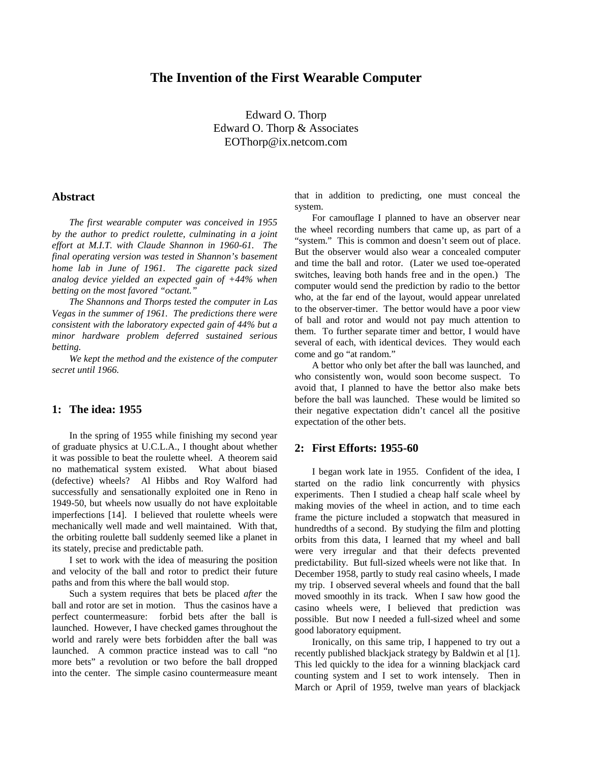# **The Invention of the First Wearable Computer**

Edward O. Thorp Edward O. Thorp & Associates EOThorp@ix.netcom.com

# **Abstract**

*The first wearable computer was conceived in 1955 by the author to predict roulette, culminating in a joint effort at M.I.T. with Claude Shannon in 1960-61. The final operating version was tested in Shannon's basement home lab in June of 1961. The cigarette pack sized analog device yielded an expected gain of +44% when betting on the most favored "octant."*

*The Shannons and Thorps tested the computer in Las Vegas in the summer of 1961. The predictions there were consistent with the laboratory expected gain of 44% but a minor hardware problem deferred sustained serious betting.*

*We kept the method and the existence of the computer secret until 1966.*

### **1: The idea: 1955**

In the spring of 1955 while finishing my second year of graduate physics at U.C.L.A., I thought about whether it was possible to beat the roulette wheel. A theorem said no mathematical system existed. What about biased (defective) wheels? Al Hibbs and Roy Walford had successfully and sensationally exploited one in Reno in 1949-50, but wheels now usually do not have exploitable imperfections [14]. I believed that roulette wheels were mechanically well made and well maintained. With that, the orbiting roulette ball suddenly seemed like a planet in its stately, precise and predictable path.

I set to work with the idea of measuring the position and velocity of the ball and rotor to predict their future paths and from this where the ball would stop.

Such a system requires that bets be placed *after* the ball and rotor are set in motion. Thus the casinos have a perfect countermeasure: forbid bets after the ball is launched. However, I have checked games throughout the world and rarely were bets forbidden after the ball was launched. A common practice instead was to call "no more bets" a revolution or two before the ball dropped into the center. The simple casino countermeasure meant that in addition to predicting, one must conceal the system.

For camouflage I planned to have an observer near the wheel recording numbers that came up, as part of a "system." This is common and doesn't seem out of place. But the observer would also wear a concealed computer and time the ball and rotor. (Later we used toe-operated switches, leaving both hands free and in the open.) The computer would send the prediction by radio to the bettor who, at the far end of the layout, would appear unrelated to the observer-timer. The bettor would have a poor view of ball and rotor and would not pay much attention to them. To further separate timer and bettor, I would have several of each, with identical devices. They would each come and go "at random."

A bettor who only bet after the ball was launched, and who consistently won, would soon become suspect. To avoid that, I planned to have the bettor also make bets before the ball was launched. These would be limited so their negative expectation didn't cancel all the positive expectation of the other bets.

## **2: First Efforts: 1955-60**

I began work late in 1955. Confident of the idea, I started on the radio link concurrently with physics experiments. Then I studied a cheap half scale wheel by making movies of the wheel in action, and to time each frame the picture included a stopwatch that measured in hundredths of a second. By studying the film and plotting orbits from this data, I learned that my wheel and ball were very irregular and that their defects prevented predictability. But full-sized wheels were not like that. In December 1958, partly to study real casino wheels, I made my trip. I observed several wheels and found that the ball moved smoothly in its track. When I saw how good the casino wheels were, I believed that prediction was possible. But now I needed a full-sized wheel and some good laboratory equipment.

Ironically, on this same trip, I happened to try out a recently published blackjack strategy by Baldwin et al [1]. This led quickly to the idea for a winning blackjack card counting system and I set to work intensely. Then in March or April of 1959, twelve man years of blackjack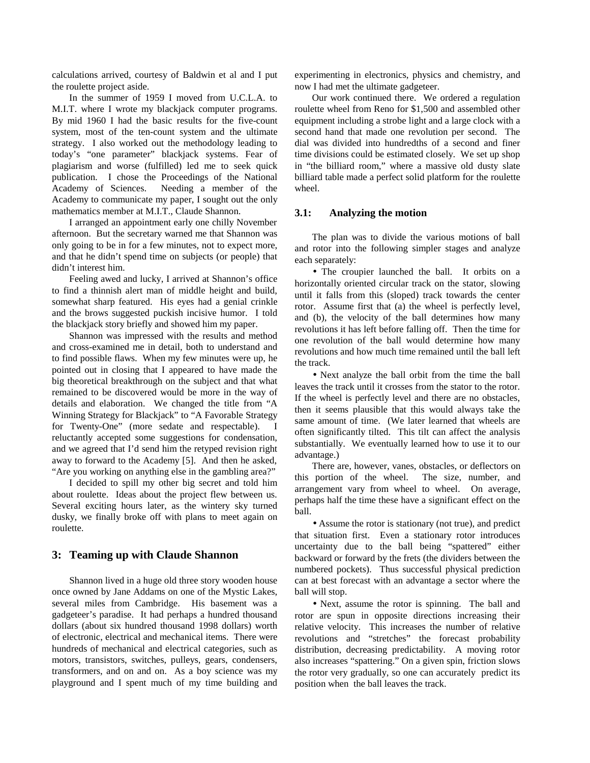calculations arrived, courtesy of Baldwin et al and I put the roulette project aside.

In the summer of 1959 I moved from U.C.L.A. to M.I.T. where I wrote my blackjack computer programs. By mid 1960 I had the basic results for the five-count system, most of the ten-count system and the ultimate strategy. I also worked out the methodology leading to today's "one parameter" blackjack systems. Fear of plagiarism and worse (fulfilled) led me to seek quick publication. I chose the Proceedings of the National Academy of Sciences. Needing a member of the Academy to communicate my paper, I sought out the only mathematics member at M.I.T., Claude Shannon.

I arranged an appointment early one chilly November afternoon. But the secretary warned me that Shannon was only going to be in for a few minutes, not to expect more, and that he didn't spend time on subjects (or people) that didn't interest him.

Feeling awed and lucky, I arrived at Shannon's office to find a thinnish alert man of middle height and build, somewhat sharp featured. His eyes had a genial crinkle and the brows suggested puckish incisive humor. I told the blackjack story briefly and showed him my paper.

Shannon was impressed with the results and method and cross-examined me in detail, both to understand and to find possible flaws. When my few minutes were up, he pointed out in closing that I appeared to have made the big theoretical breakthrough on the subject and that what remained to be discovered would be more in the way of details and elaboration. We changed the title from "A Winning Strategy for Blackjack" to "A Favorable Strategy for Twenty-One" (more sedate and respectable). I reluctantly accepted some suggestions for condensation, and we agreed that I'd send him the retyped revision right away to forward to the Academy [5]. And then he asked, "Are you working on anything else in the gambling area?"

I decided to spill my other big secret and told him about roulette. Ideas about the project flew between us. Several exciting hours later, as the wintery sky turned dusky, we finally broke off with plans to meet again on roulette.

# **3: Teaming up with Claude Shannon**

Shannon lived in a huge old three story wooden house once owned by Jane Addams on one of the Mystic Lakes, several miles from Cambridge. His basement was a gadgeteer's paradise. It had perhaps a hundred thousand dollars (about six hundred thousand 1998 dollars) worth of electronic, electrical and mechanical items. There were hundreds of mechanical and electrical categories, such as motors, transistors, switches, pulleys, gears, condensers, transformers, and on and on. As a boy science was my playground and I spent much of my time building and experimenting in electronics, physics and chemistry, and now I had met the ultimate gadgeteer.

Our work continued there. We ordered a regulation roulette wheel from Reno for \$1,500 and assembled other equipment including a strobe light and a large clock with a second hand that made one revolution per second. The dial was divided into hundredths of a second and finer time divisions could be estimated closely. We set up shop in "the billiard room," where a massive old dusty slate billiard table made a perfect solid platform for the roulette wheel.

#### **3.1: Analyzing the motion**

The plan was to divide the various motions of ball and rotor into the following simpler stages and analyze each separately:

• The croupier launched the ball. It orbits on a horizontally oriented circular track on the stator, slowing until it falls from this (sloped) track towards the center rotor. Assume first that (a) the wheel is perfectly level, and (b), the velocity of the ball determines how many revolutions it has left before falling off. Then the time for one revolution of the ball would determine how many revolutions and how much time remained until the ball left the track.

• Next analyze the ball orbit from the time the ball leaves the track until it crosses from the stator to the rotor. If the wheel is perfectly level and there are no obstacles, then it seems plausible that this would always take the same amount of time. (We later learned that wheels are often significantly tilted. This tilt can affect the analysis substantially. We eventually learned how to use it to our advantage.)

There are, however, vanes, obstacles, or deflectors on this portion of the wheel. The size, number, and arrangement vary from wheel to wheel. On average, perhaps half the time these have a significant effect on the ball.

• Assume the rotor is stationary (not true), and predict that situation first. Even a stationary rotor introduces uncertainty due to the ball being "spattered" either backward or forward by the frets (the dividers between the numbered pockets). Thus successful physical prediction can at best forecast with an advantage a sector where the ball will stop.

• Next, assume the rotor is spinning. The ball and rotor are spun in opposite directions increasing their relative velocity. This increases the number of relative revolutions and "stretches" the forecast probability distribution, decreasing predictability. A moving rotor also increases "spattering." On a given spin, friction slows the rotor very gradually, so one can accurately predict its position when the ball leaves the track.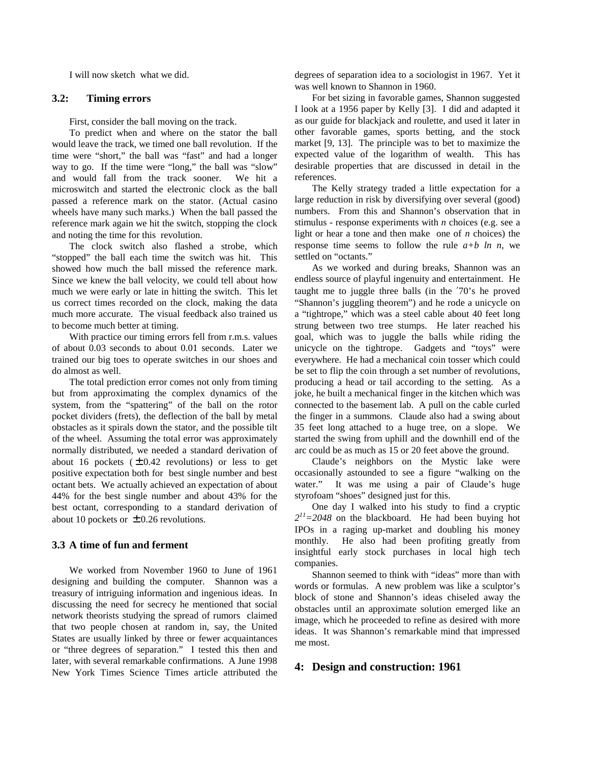I will now sketch what we did.

# **3.2: Timing errors**

First, consider the ball moving on the track.

To predict when and where on the stator the ball would leave the track, we timed one ball revolution. If the time were "short," the ball was "fast" and had a longer way to go. If the time were "long," the ball was "slow" and would fall from the track sooner. We hit a microswitch and started the electronic clock as the ball passed a reference mark on the stator. (Actual casino wheels have many such marks.) When the ball passed the reference mark again we hit the switch, stopping the clock and noting the time for this revolution.

The clock switch also flashed a strobe, which "stopped" the ball each time the switch was hit. This showed how much the ball missed the reference mark. Since we knew the ball velocity, we could tell about how much we were early or late in hitting the switch. This let us correct times recorded on the clock, making the data much more accurate. The visual feedback also trained us to become much better at timing.

With practice our timing errors fell from r.m.s. values of about 0.03 seconds to about 0.01 seconds. Later we trained our big toes to operate switches in our shoes and do almost as well.

The total prediction error comes not only from timing but from approximating the complex dynamics of the system, from the "spattering" of the ball on the rotor pocket dividers (frets), the deflection of the ball by metal obstacles as it spirals down the stator, and the possible tilt of the wheel. Assuming the total error was approximately normally distributed, we needed a standard derivation of about 16 pockets  $(\pm 0.42$  revolutions) or less to get positive expectation both for best single number and best octant bets. We actually achieved an expectation of about 44% for the best single number and about 43% for the best octant, corresponding to a standard derivation of about 10 pockets or  $\pm$  0.26 revolutions.

#### **3.3 A time of fun and ferment**

We worked from November 1960 to June of 1961 designing and building the computer. Shannon was a treasury of intriguing information and ingenious ideas. In discussing the need for secrecy he mentioned that social network theorists studying the spread of rumors claimed that two people chosen at random in, say, the United States are usually linked by three or fewer acquaintances or "three degrees of separation." I tested this then and later, with several remarkable confirmations. A June 1998 New York Times Science Times article attributed the

degrees of separation idea to a sociologist in 1967. Yet it was well known to Shannon in 1960.

For bet sizing in favorable games, Shannon suggested I look at a 1956 paper by Kelly [3]. I did and adapted it as our guide for blackjack and roulette, and used it later in other favorable games, sports betting, and the stock market [9, 13]. The principle was to bet to maximize the expected value of the logarithm of wealth. This has desirable properties that are discussed in detail in the references.

The Kelly strategy traded a little expectation for a large reduction in risk by diversifying over several (good) numbers. From this and Shannon's observation that in stimulus - response experiments with *n* choices (e.g. see a light or hear a tone and then make one of *n* choices) the response time seems to follow the rule  $a+b$  ln n, we settled on "octants."

As we worked and during breaks, Shannon was an endless source of playful ingenuity and entertainment. He taught me to juggle three balls (in the ′70's he proved "Shannon's juggling theorem") and he rode a unicycle on a "tightrope," which was a steel cable about 40 feet long strung between two tree stumps. He later reached his goal, which was to juggle the balls while riding the unicycle on the tightrope. Gadgets and "toys" were everywhere. He had a mechanical coin tosser which could be set to flip the coin through a set number of revolutions, producing a head or tail according to the setting. As a joke, he built a mechanical finger in the kitchen which was connected to the basement lab. A pull on the cable curled the finger in a summons. Claude also had a swing about 35 feet long attached to a huge tree, on a slope. We started the swing from uphill and the downhill end of the arc could be as much as 15 or 20 feet above the ground.

Claude's neighbors on the Mystic lake were occasionally astounded to see a figure "walking on the water." It was me using a pair of Claude's huge styrofoam "shoes" designed just for this.

One day I walked into his study to find a cryptic  $2^{11}$ =2048 on the blackboard. He had been buying hot IPOs in a raging up-market and doubling his money monthly. He also had been profiting greatly from insightful early stock purchases in local high tech companies.

Shannon seemed to think with "ideas" more than with words or formulas. A new problem was like a sculptor's block of stone and Shannon's ideas chiseled away the obstacles until an approximate solution emerged like an image, which he proceeded to refine as desired with more ideas. It was Shannon's remarkable mind that impressed me most.

# **4: Design and construction: 1961**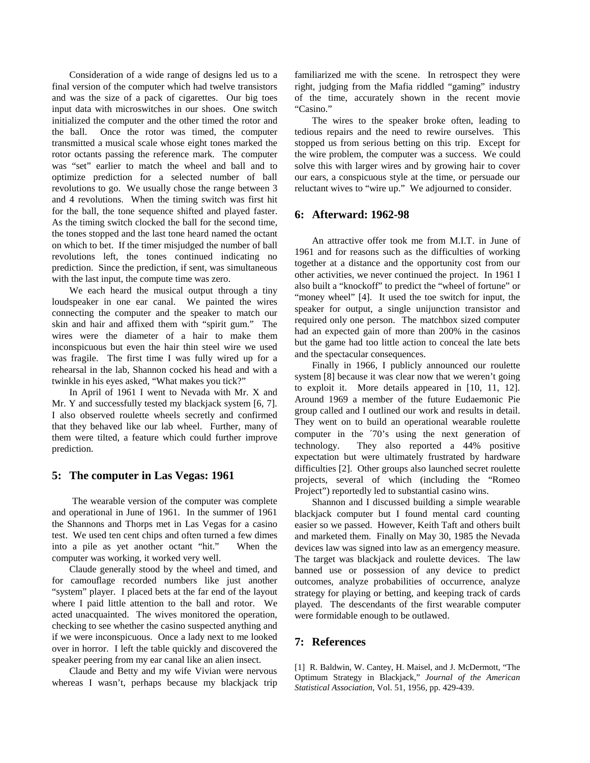Consideration of a wide range of designs led us to a final version of the computer which had twelve transistors and was the size of a pack of cigarettes. Our big toes input data with microswitches in our shoes. One switch initialized the computer and the other timed the rotor and the ball. Once the rotor was timed, the computer transmitted a musical scale whose eight tones marked the rotor octants passing the reference mark. The computer was "set" earlier to match the wheel and ball and to optimize prediction for a selected number of ball revolutions to go. We usually chose the range between 3 and 4 revolutions. When the timing switch was first hit for the ball, the tone sequence shifted and played faster. As the timing switch clocked the ball for the second time, the tones stopped and the last tone heard named the octant on which to bet. If the timer misjudged the number of ball revolutions left, the tones continued indicating no prediction. Since the prediction, if sent, was simultaneous with the last input, the compute time was zero.

We each heard the musical output through a tiny loudspeaker in one ear canal. We painted the wires connecting the computer and the speaker to match our skin and hair and affixed them with "spirit gum." The wires were the diameter of a hair to make them inconspicuous but even the hair thin steel wire we used was fragile. The first time I was fully wired up for a rehearsal in the lab, Shannon cocked his head and with a twinkle in his eyes asked, "What makes you tick?"

In April of 1961 I went to Nevada with Mr. X and Mr. Y and successfully tested my blackjack system [6, 7]. I also observed roulette wheels secretly and confirmed that they behaved like our lab wheel. Further, many of them were tilted, a feature which could further improve prediction.

# **5: The computer in Las Vegas: 1961**

 The wearable version of the computer was complete and operational in June of 1961. In the summer of 1961 the Shannons and Thorps met in Las Vegas for a casino test. We used ten cent chips and often turned a few dimes into a pile as yet another octant "hit." When the computer was working, it worked very well.

Claude generally stood by the wheel and timed, and for camouflage recorded numbers like just another "system" player. I placed bets at the far end of the layout where I paid little attention to the ball and rotor. We acted unacquainted. The wives monitored the operation, checking to see whether the casino suspected anything and if we were inconspicuous. Once a lady next to me looked over in horror. I left the table quickly and discovered the speaker peering from my ear canal like an alien insect.

Claude and Betty and my wife Vivian were nervous whereas I wasn't, perhaps because my blackjack trip familiarized me with the scene. In retrospect they were right, judging from the Mafia riddled "gaming" industry of the time, accurately shown in the recent movie "Casino."

The wires to the speaker broke often, leading to tedious repairs and the need to rewire ourselves. This stopped us from serious betting on this trip. Except for the wire problem, the computer was a success. We could solve this with larger wires and by growing hair to cover our ears, a conspicuous style at the time, or persuade our reluctant wives to "wire up." We adjourned to consider.

### **6: Afterward: 1962-98**

An attractive offer took me from M.I.T. in June of 1961 and for reasons such as the difficulties of working together at a distance and the opportunity cost from our other activities, we never continued the project. In 1961 I also built a "knockoff" to predict the "wheel of fortune" or "money wheel" [4]. It used the toe switch for input, the speaker for output, a single unijunction transistor and required only one person. The matchbox sized computer had an expected gain of more than 200% in the casinos but the game had too little action to conceal the late bets and the spectacular consequences.

Finally in 1966, I publicly announced our roulette system [8] because it was clear now that we weren't going to exploit it. More details appeared in [10, 11, 12]. Around 1969 a member of the future Eudaemonic Pie group called and I outlined our work and results in detail. They went on to build an operational wearable roulette computer in the ′70's using the next generation of technology. They also reported a 44% positive expectation but were ultimately frustrated by hardware difficulties [2]. Other groups also launched secret roulette projects, several of which (including the "Romeo Project") reportedly led to substantial casino wins.

Shannon and I discussed building a simple wearable blackjack computer but I found mental card counting easier so we passed. However, Keith Taft and others built and marketed them. Finally on May 30, 1985 the Nevada devices law was signed into law as an emergency measure. The target was blackjack and roulette devices. The law banned use or possession of any device to predict outcomes, analyze probabilities of occurrence, analyze strategy for playing or betting, and keeping track of cards played. The descendants of the first wearable computer were formidable enough to be outlawed.

# **7: References**

[1] R. Baldwin, W. Cantey, H. Maisel, and J. McDermott, "The Optimum Strategy in Blackjack," *Journal of the American Statistical Association*, Vol. 51, 1956, pp. 429-439.